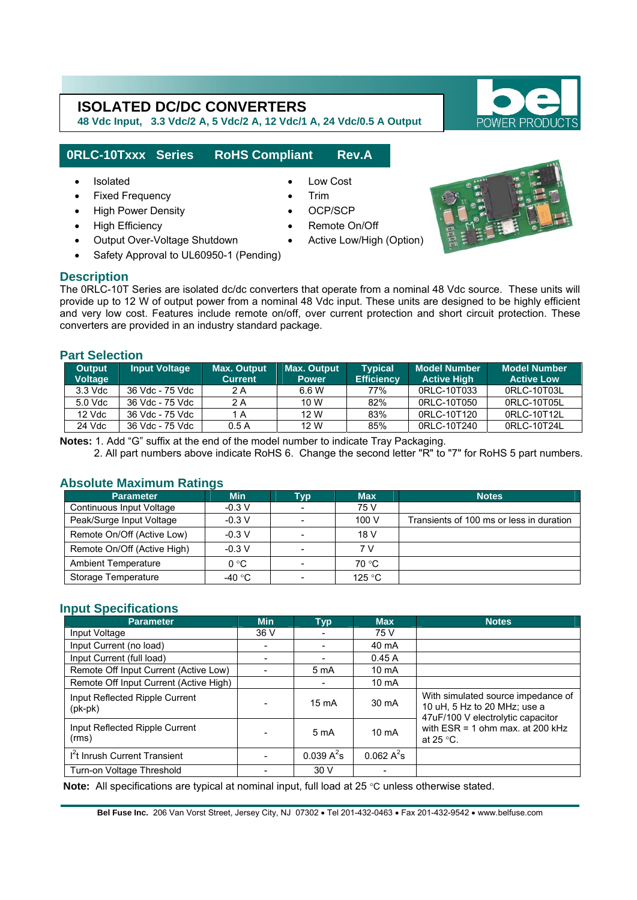**48 Vdc Input, 3.3 Vdc/2 A, 5 Vdc/2 A, 12 Vdc/1 A, 24 Vdc/0.5 A Output** 

## **0RLC-10Txxx Series RoHS Compliant Rev.A**

• Isolated • Low Cost

l

- Fixed Frequency **•** Trim
- High Power Density OCP/SCP
- High Efficiency
- Output Over-Voltage Shutdown
- Safety Approval to UL60950-1 (Pending)

#### **Description**

The 0RLC-10T Series are isolated dc/dc converters that operate from a nominal 48 Vdc source. These units will provide up to 12 W of output power from a nominal 48 Vdc input. These units are designed to be highly efficient and very low cost. Features include remote on/off, over current protection and short circuit protection. These converters are provided in an industry standard package.

Remote On/Off

#### **Part Selection**

| <b>Output</b><br><b>Voltage</b> | <b>Input Voltage</b> | <b>Max. Output</b><br><b>Current</b> | <b>Max. Output</b><br><b>Power</b> | <b>Typical</b><br><b>Efficiency</b> | <b>Model Number</b><br><b>Active High</b> | <b>Model Number</b><br><b>Active Low</b> |
|---------------------------------|----------------------|--------------------------------------|------------------------------------|-------------------------------------|-------------------------------------------|------------------------------------------|
| $3.3$ Vdc                       | 36 Vdc - 75 Vdc      | 2 A                                  | 6.6 W                              | 77%                                 | 0RLC-10T033                               | ORLC-10T03L                              |
| 5.0 Vdc                         | 36 Vdc - 75 Vdc      | 2 A                                  | 10 W                               | 82%                                 | 0RLC-10T050                               | 0RLC-10T05L                              |
| 12 Vdc                          | 36 Vdc - 75 Vdc      | 1 A                                  | 12 W                               | 83%                                 | 0RLC-10T120                               | 0RLC-10T12L                              |
| 24 Vdc                          | 36 Vdc - 75 Vdc      | 0.5A                                 | 12 W                               | 85%                                 | 0RLC-10T240                               | 0RLC-10T24L                              |

**Notes:** 1. Add "G" suffix at the end of the model number to indicate Tray Packaging.

2. All part numbers above indicate RoHS 6. Change the second letter "R" to "7" for RoHS 5 part numbers.

#### **Absolute Maximum Ratings**

| <b>Parameter</b>            | <b>Min</b>    | Typ <sup>1</sup>         | <b>Max</b> | Notes                                    |
|-----------------------------|---------------|--------------------------|------------|------------------------------------------|
| Continuous Input Voltage    | $-0.3 V$      | $\overline{\phantom{a}}$ | 75 V       |                                          |
| Peak/Surge Input Voltage    | $-0.3 V$      | $\overline{\phantom{a}}$ | 100 V      | Transients of 100 ms or less in duration |
| Remote On/Off (Active Low)  | $-0.3 V$      | $\sim$                   | 18 V       |                                          |
| Remote On/Off (Active High) | $-0.3 V$      | $\blacksquare$           | 7 V        |                                          |
| <b>Ambient Temperature</b>  | $0^{\circ}$ C | $\overline{\phantom{a}}$ | 70 °C      |                                          |
| Storage Temperature         | -40 °C        | $\overline{\phantom{0}}$ | 125 °C     |                                          |

#### **Input Specifications**

| <b>Parameter</b>                            | <b>Min</b> | Typ              | <b>Max</b>        | <b>Notes</b>                                                                                                                                                        |  |
|---------------------------------------------|------------|------------------|-------------------|---------------------------------------------------------------------------------------------------------------------------------------------------------------------|--|
| Input Voltage                               | 36 V       |                  | 75 V              |                                                                                                                                                                     |  |
| Input Current (no load)                     |            |                  | 40 mA             |                                                                                                                                                                     |  |
| Input Current (full load)                   |            |                  | 0.45A             |                                                                                                                                                                     |  |
| Remote Off Input Current (Active Low)       |            | 5 mA             | 10 mA             |                                                                                                                                                                     |  |
| Remote Off Input Current (Active High)      |            |                  | 10 <sub>m</sub> A |                                                                                                                                                                     |  |
| Input Reflected Ripple Current<br>$(pk-pk)$ |            | $15 \text{ mA}$  | 30 mA             | With simulated source impedance of<br>10 uH, 5 Hz to 20 MHz; use a<br>47uF/100 V electrolytic capacitor<br>with $ESR = 1$ ohm max. at 200 kHz<br>at 25 $\degree$ C. |  |
| Input Reflected Ripple Current<br>(rms)     |            | 5 <sub>m</sub> A | $10 \text{ mA}$   |                                                                                                                                                                     |  |
| I <sup>2</sup> t Inrush Current Transient   |            | $0.039 A^2s$     | $0.062 A^2s$      |                                                                                                                                                                     |  |
| Turn-on Voltage Threshold                   |            | 30V              |                   |                                                                                                                                                                     |  |

**Note:** All specifications are typical at nominal input, full load at 25 °C unless otherwise stated.

**Bel Fuse Inc.** 206 Van Vorst Street, Jersey City, NJ 07302 • Tel 201-432-0463 • Fax 201-432-9542 • www.belfuse.com



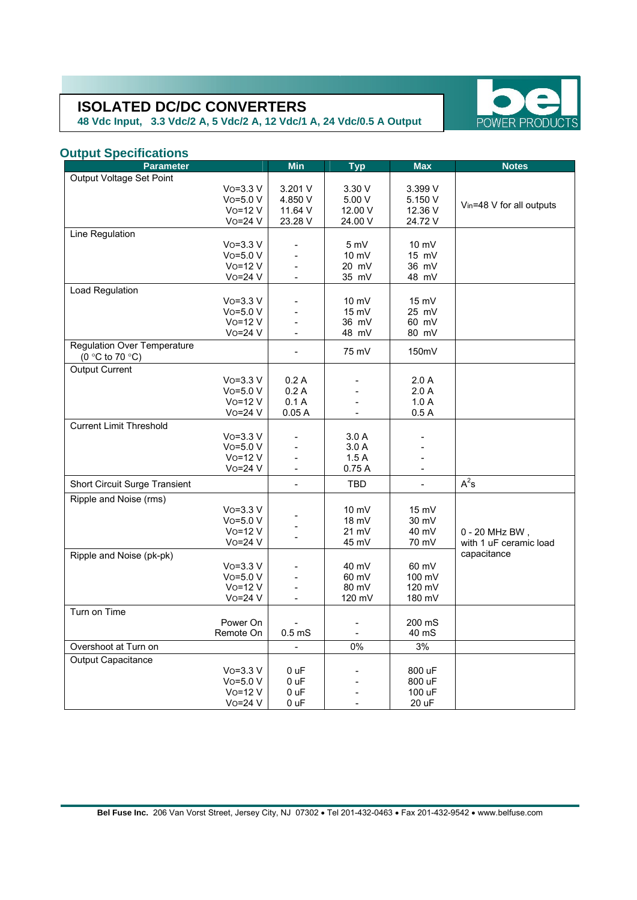**48 Vdc Input, 3.3 Vdc/2 A, 5 Vdc/2 A, 12 Vdc/1 A, 24 Vdc/0.5 A Output** 



### **Output Specifications**

| <b>Parameter</b>                   |                         | <b>Min</b>           | <b>Typ</b>      | Max             | <b>Notes</b>             |
|------------------------------------|-------------------------|----------------------|-----------------|-----------------|--------------------------|
| Output Voltage Set Point           |                         |                      |                 |                 |                          |
|                                    | $V$ o=3.3 $V$           | 3.201 V              | 3.30 V          | 3.399 V         |                          |
|                                    | $V$ o=5.0 $V$           | 4.850 V              | 5.00 V          | 5.150 V         | Vin=48 V for all outputs |
|                                    | $Vo=12 V$               | 11.64 V              | 12.00 V         | 12.36 V         |                          |
|                                    | $Vo=24 V$               | 23.28 V              | 24.00 V         | 24.72 V         |                          |
| Line Regulation                    |                         |                      |                 |                 |                          |
|                                    | $V$ o=3.3 $V$           |                      | 5 mV            | 10 mV           |                          |
|                                    | $Vo=5.0 V$              |                      | 10 mV           | 15 mV           |                          |
|                                    | $Vo=12 V$               |                      | 20 mV           | 36 mV           |                          |
|                                    | $Vo=24 V$               | $\overline{a}$       | 35 mV           | 48 mV           |                          |
| Load Regulation                    |                         |                      |                 |                 |                          |
|                                    | $V$ o=3.3 $V$           |                      | $10 \text{ mV}$ | $15 \text{ mV}$ |                          |
|                                    | $Vo=5.0 V$<br>$Vo=12 V$ |                      | 15 mV<br>36 mV  | 25 mV           |                          |
|                                    | $Vo=24 V$               |                      | 48 mV           | 60 mV<br>80 mV  |                          |
| <b>Regulation Over Temperature</b> |                         |                      |                 |                 |                          |
| (0 °C to 70 °C)                    |                         |                      | 75 mV           | 150mV           |                          |
| <b>Output Current</b>              |                         |                      |                 |                 |                          |
|                                    | $V_0 = 3.3 V$           | 0.2A                 |                 | 2.0A            |                          |
|                                    | $Vo=5.0 V$              | 0.2A                 |                 | 2.0A            |                          |
|                                    | $Vo=12V$                | 0.1A                 | $\overline{a}$  | 1.0A            |                          |
|                                    | Vo=24 V                 | 0.05A                | $\blacksquare$  | 0.5A            |                          |
| <b>Current Limit Threshold</b>     |                         |                      |                 |                 |                          |
|                                    | $V_0 = 3.3 V$           |                      | 3.0A            |                 |                          |
|                                    | $Vo=5.0 V$              |                      | 3.0A            |                 |                          |
|                                    | $Vo=12V$                |                      | 1.5A            |                 |                          |
|                                    | Vo=24 V                 | L.                   | 0.75A           | $\blacksquare$  |                          |
| Short Circuit Surge Transient      |                         |                      | <b>TBD</b>      |                 | $A^2$ s                  |
| Ripple and Noise (rms)             |                         |                      |                 |                 |                          |
|                                    | $V_0 = 3.3 V$           |                      | $10 \text{ mV}$ | $15$ mV         |                          |
|                                    | $Vo=5.0 V$              |                      | $18$ mV         | 30 mV           |                          |
|                                    | $Vo=12V$                |                      | $21 \text{ mV}$ | 40 mV           | 0 - 20 MHz BW,           |
|                                    | Vo=24 V                 | $\overline{a}$       | 45 mV           | 70 mV           | with 1 uF ceramic load   |
| Ripple and Noise (pk-pk)           |                         |                      |                 |                 | capacitance              |
|                                    | $V$ o=3.3 $V$           |                      | 40 mV           | 60 mV           |                          |
|                                    | $Vo=5.0 V$              |                      | 60 mV           | 100 mV          |                          |
|                                    | $Vo=12 V$               |                      | 80 mV           | 120 mV          |                          |
|                                    | $Vo = 24 V$             | $\blacksquare$       | 120 mV          | 180 mV          |                          |
| Turn on Time                       |                         |                      |                 |                 |                          |
|                                    | Power On                |                      |                 | 200 mS          |                          |
|                                    | Remote On               | 0.5 <sub>m</sub> S   |                 | 40 mS           |                          |
| Overshoot at Turn on               |                         | $\ddot{\phantom{1}}$ | 0%              | 3%              |                          |
| <b>Output Capacitance</b>          |                         |                      |                 |                 |                          |
|                                    | $V$ o=3.3 $V$           | 0 uF                 |                 | 800 uF          |                          |
|                                    | $Vo=5.0 V$              | 0 <sub>uF</sub>      |                 | 800 uF          |                          |
|                                    | $Vo=12V$                | 0 uF                 |                 | 100 uF          |                          |
|                                    | $Vo=24 V$               | 0 uF                 |                 | 20 uF           |                          |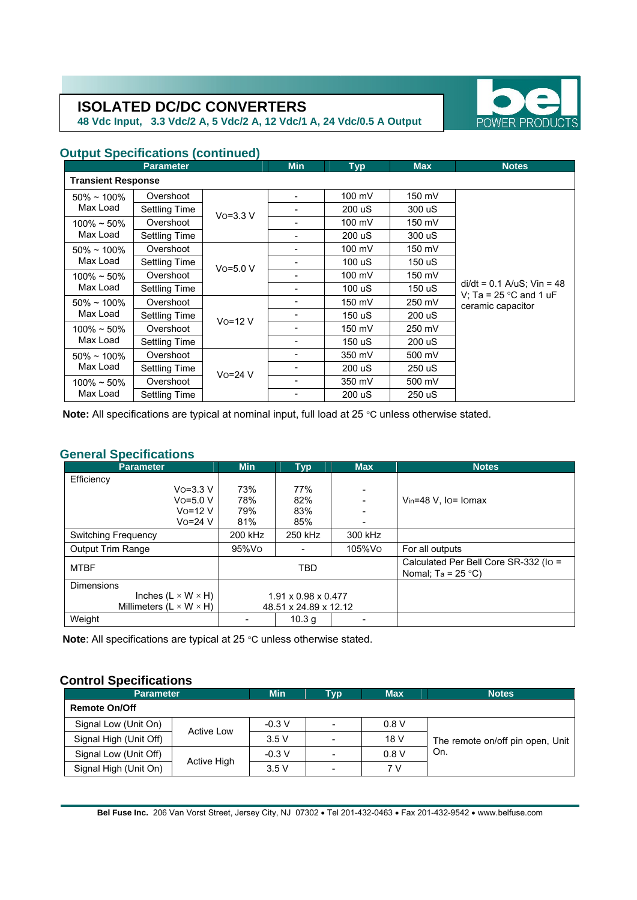**48 Vdc Input, 3.3 Vdc/2 A, 5 Vdc/2 A, 12 Vdc/1 A, 24 Vdc/0.5 A Output** 



# **Output Specifications (continued)**

|                           | <b>Parameter</b> |               | <b>Min</b> | <b>Typ</b> | <b>Max</b> | <b>Notes</b>                                                                         |  |  |
|---------------------------|------------------|---------------|------------|------------|------------|--------------------------------------------------------------------------------------|--|--|
| <b>Transient Response</b> |                  |               |            |            |            |                                                                                      |  |  |
| $50\% \sim 100\%$         | Overshoot        |               |            | 100 mV     | 150 mV     |                                                                                      |  |  |
| Max Load                  | Settling Time    | $V_0 = 3.3 V$ |            | 200 uS     | 300 uS     |                                                                                      |  |  |
| $100\% \sim 50\%$         | Overshoot        |               |            | 100 mV     | 150 mV     |                                                                                      |  |  |
| Max Load                  | Settling Time    |               |            | 200 uS     | 300 uS     |                                                                                      |  |  |
| $50\% \sim 100\%$         | Overshoot        |               |            | 100 mV     | 150 mV     |                                                                                      |  |  |
| Max Load                  | Settling Time    | $V$ o=5.0 $V$ |            | 100 uS     | 150 uS     | $di/dt = 0.1$ A/uS; Vin = 48<br>V; Ta = $25^{\circ}$ C and 1 uF<br>ceramic capacitor |  |  |
| $100\% \sim 50\%$         | Overshoot        |               |            | 100 mV     | 150 mV     |                                                                                      |  |  |
| Max Load                  | Settling Time    |               |            | 100 uS     | 150 uS     |                                                                                      |  |  |
| $50\% \sim 100\%$         | Overshoot        | $V_0 = 12 V$  |            | 150 mV     | 250 mV     |                                                                                      |  |  |
| Max Load                  | Settling Time    |               |            | 150 uS     | 200 uS     |                                                                                      |  |  |
| $100\% \sim 50\%$         | Overshoot        |               |            | 150 mV     | 250 mV     |                                                                                      |  |  |
| Max Load                  | Settling Time    |               |            | 150 uS     | 200 uS     |                                                                                      |  |  |
| $50\% \sim 100\%$         | Overshoot        |               |            | 350 mV     | 500 mV     |                                                                                      |  |  |
| Max Load                  | Settling Time    | $Vo = 24 V$   |            | 200 uS     | 250 uS     |                                                                                      |  |  |
| $100\% \sim 50\%$         | Overshoot        |               |            | 350 mV     | 500 mV     |                                                                                      |  |  |
| Max Load                  | Settling Time    |               |            | 200 uS     | 250 uS     |                                                                                      |  |  |

 **Note:** All specifications are typical at nominal input, full load at 25 °C unless otherwise stated.

#### **General Specifications**

| <b>Parameter</b>                      | <b>Min</b>                      | <b>Typ</b> | <b>Max</b> | <b>Notes</b>                                                 |
|---------------------------------------|---------------------------------|------------|------------|--------------------------------------------------------------|
| Efficiency                            |                                 |            |            |                                                              |
| $V_0 = 3.3 V$                         | 73%                             | 77%        |            |                                                              |
| $VO=5.0 V$                            | 78%                             | 82%        |            | $V_{in} = 48$ V. Io = Iomax                                  |
| $V_0 = 12 V$                          | 79%                             | 83%        |            |                                                              |
| $Vo = 24 V$                           | 81%                             | 85%        |            |                                                              |
| <b>Switching Frequency</b>            | 200 kHz                         | 250 kHz    | 300 kHz    |                                                              |
| <b>Output Trim Range</b>              | 95%Vo                           |            | 105%Vo     | For all outputs                                              |
| <b>MTBF</b>                           | <b>TBD</b>                      |            |            | Calculated Per Bell Core SR-332 (Io =<br>Nomal; $Ta = 25 °C$ |
| <b>Dimensions</b>                     |                                 |            |            |                                                              |
| Inches $(L \times W \times H)$        | $1.91 \times 0.98 \times 0.477$ |            |            |                                                              |
| Millimeters ( $L \times W \times H$ ) | 48.51 x 24.89 x 12.12           |            |            |                                                              |
| Weight                                |                                 | 10.3 g     |            |                                                              |

**Note**: All specifications are typical at 25 °C unless otherwise stated.

# **Control Specifications**

| <b>Parameter</b>       | <b>Min</b>        | Гур      | <b>Max</b>               | <b>Notes</b> |                                  |  |  |  |
|------------------------|-------------------|----------|--------------------------|--------------|----------------------------------|--|--|--|
| <b>Remote On/Off</b>   |                   |          |                          |              |                                  |  |  |  |
| Signal Low (Unit On)   | <b>Active Low</b> | $-0.3 V$ | $\blacksquare$           | 0.8V         |                                  |  |  |  |
| Signal High (Unit Off) |                   | 3.5V     | $\overline{\phantom{a}}$ | 18 V         | The remote on/off pin open, Unit |  |  |  |
| Signal Low (Unit Off)  |                   | $-0.3$ V | $\blacksquare$           | 0.8V         | On.                              |  |  |  |
| Signal High (Unit On)  | Active High       | 3.5V     | $\overline{\phantom{a}}$ | 7V           |                                  |  |  |  |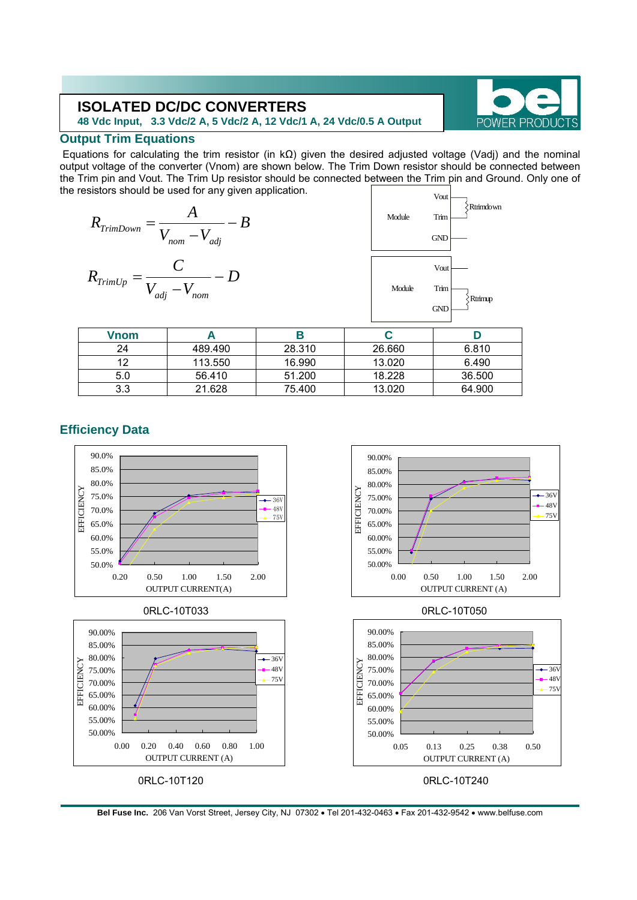**48 Vdc Input, 3.3 Vdc/2 A, 5 Vdc/2 A, 12 Vdc/1 A, 24 Vdc/0.5 A Output** 



### **Output Trim Equations**

 Equations for calculating the trim resistor (in kΩ) given the desired adjusted voltage (Vadj) and the nominal output voltage of the converter (Vnom) are shown below. The Trim Down resistor should be connected between the Trim pin and Vout. The Trim Up resistor should be connected between the Trim pin and Ground. Only one of the resistors should be used for any given application.

$$
R_{TrimDown} = \frac{A}{V_{nom} - V_{adj}} - B
$$
  

$$
R_{TrimUp} = \frac{C}{V_{adj} - V_{nom}} - D
$$



| <b>Vnom</b> |         |        |        |        |
|-------------|---------|--------|--------|--------|
| 24          | 489.490 | 28.310 | 26.660 | 6.810  |
| ィっ          | 113.550 | 16.990 | 13.020 | 6.490  |
| 5.0         | 56.410  | 51.200 | 18.228 | 36,500 |
| 3.3         | 21.628  | 75.400 | 13.020 | 64.900 |

## **Efficiency Data**



**Bel Fuse Inc.** 206 Van Vorst Street, Jersey City, NJ 07302 • Tel 201-432-0463 • Fax 201-432-9542 • www.belfuse.com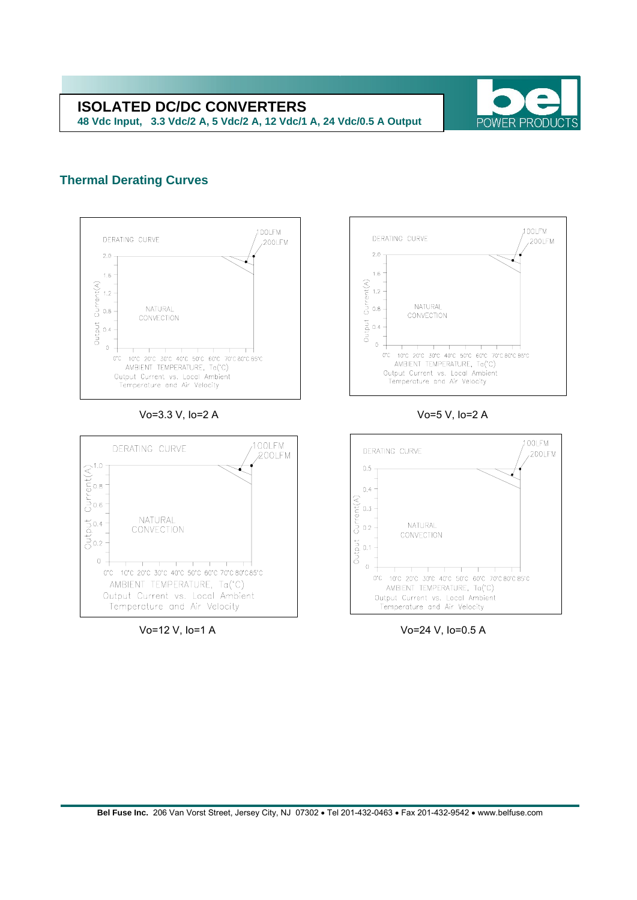

#### **Thermal Derating Curves**



Vo=3.3 V, Io=2 A Vo=5 V, Io=2 A







Vo=12 V, Io=1 A Vo=24 V, Io=0.5 A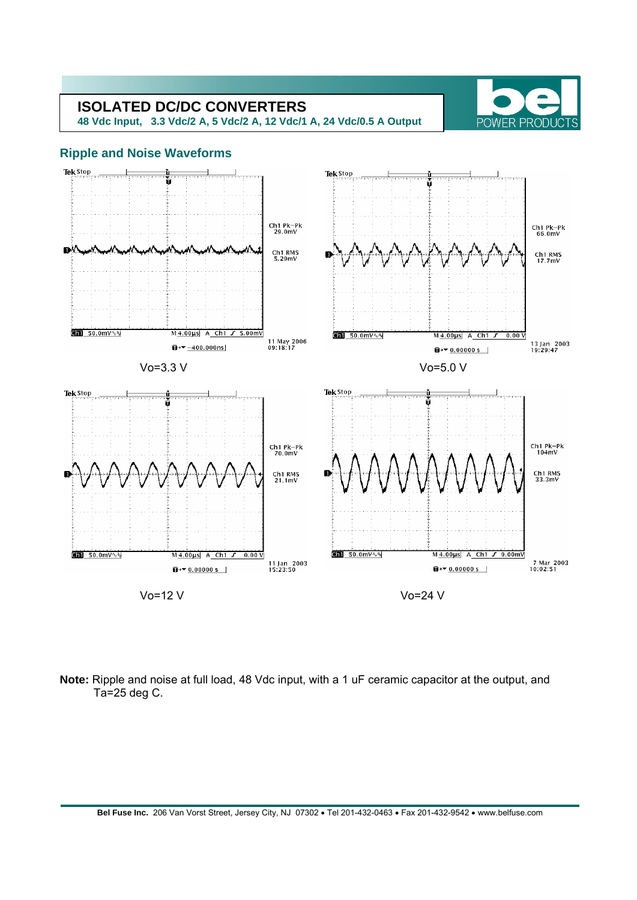**48 Vdc Input, 3.3 Vdc/2 A, 5 Vdc/2 A, 12 Vdc/1 A, 24 Vdc/0.5 A Output** 



#### **Ripple and Noise Waveforms**



**Note:** Ripple and noise at full load, 48 Vdc input, with a 1 uF ceramic capacitor at the output, and Ta=25 deg C.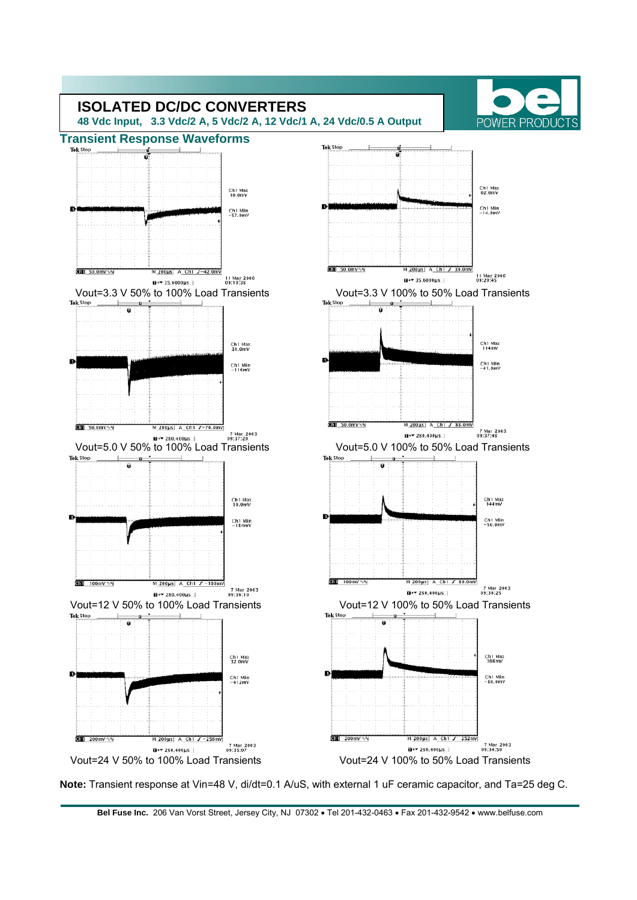

**Note:** Transient response at Vin=48 V, di/dt=0.1 A/uS, with external 1 uF ceramic capacitor, and Ta=25 deg C.